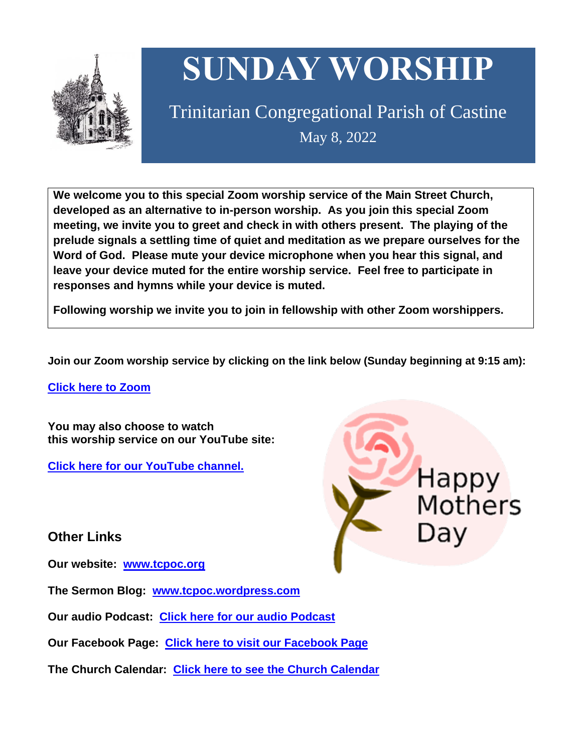

# **SUNDAY WORSHIP**

Trinitarian Congregational Parish of Castine May 8, 2022

**We welcome you to this special Zoom worship service of the Main Street Church, developed as an alternative to in-person worship. As you join this special Zoom meeting, we invite you to greet and check in with others present. The playing of the prelude signals a settling time of quiet and meditation as we prepare ourselves for the Word of God. Please mute your device microphone when you hear this signal, and leave your device muted for the entire worship service. Feel free to participate in responses and hymns while your device is muted.**

**Following worship we invite you to join in fellowship with other Zoom worshippers.**

**Join our Zoom worship service by clicking on the link below (Sunday beginning at 9:15 am):**

**Click here to [Zoom](https://us02web.zoom.us/j/89573448511?pwd=MFRuSFBJR2NWL015RzlyZ1UycmROQT09)**

**You may also choose to watch this worship service on our YouTube site:**

**Click here for our [YouTube](https://www.youtube.com/channel/UC4Bu-O6pN-bdPOqVNg0fBxA) channel.**

**Other Links**

**Our website: [www.tcpoc.org](http://www.tcpoc.org/)**

**The Sermon Blog: [www.tcpoc.wordpress.com](http://www.tcpoc.wordpress.com/)**

**Our audio Podcast: Click here for our audio [Podcast](https://podpoint.com/trinitarian-congregational-parish-of-castine-podcast)**

**Our Facebook Page: Click here to visit our [Facebook](https://www.facebook.com/tcpoc) Page**

**The Church Calendar: Click here to see the Church [Calendar](http://www.tcpoc.org/calendar.html)**

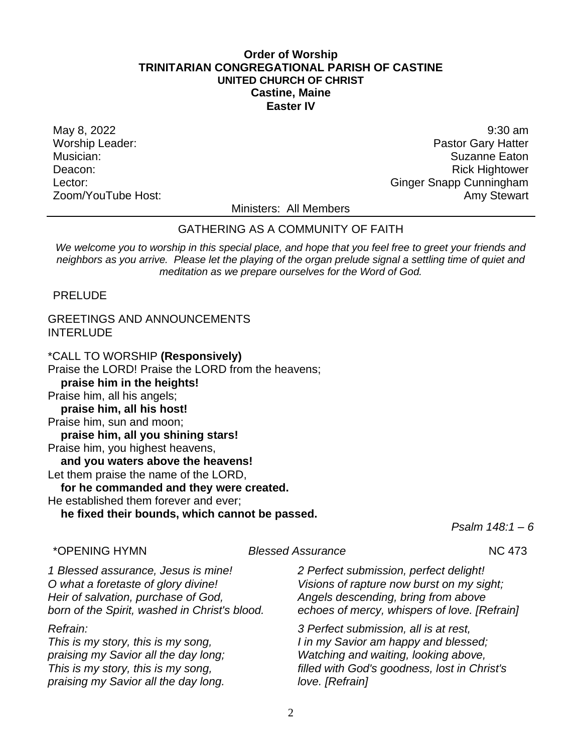# **Order of Worship TRINITARIAN CONGREGATIONAL PARISH OF CASTINE UNITED CHURCH OF CHRIST Castine, Maine Easter IV**

May 8, 2022 9:30 am Worship Leader: **Pastor Gary Hatter** Worship Leader: Musician: Suzanne Eaton Deacon: Network and the settlement of the settlement of the settlement of the settlement of the settlement of the settlement of the settlement of the settlement of the settlement of the settlement of the settlement of the Lector: Changes of Contract Contract Contract Contract Contract Contract Contract Contract Contract Contract Contract Contract Contract Contract Contract Contract Contract Contract Contract Contract Contract Contract Contr Zoom/YouTube Host: Amy Stewart Communication and Amy Stewart

Ministers: All Members

# GATHERING AS A COMMUNITY OF FAITH

*We welcome you to worship in this special place, and hope that you feel free to greet your friends and neighbors as you arrive. Please let the playing of the organ prelude signal a settling time of quiet and meditation as we prepare ourselves for the Word of God.*

PRELUDE

# GREETINGS AND ANNOUNCEMENTS INTERLUDE

\*CALL TO WORSHIP **(Responsively)** Praise the LORD! Praise the LORD from the heavens; **praise him in the heights!** Praise him, all his angels; **praise him, all his host!** Praise him, sun and moon; **praise him, all you shining stars!** Praise him, you highest heavens, **and you waters above the heavens!** Let them praise the name of the LORD, **for he commanded and they were created.** He established them forever and ever; **he fixed their bounds, which cannot be passed.**

*Psalm 148:1 – 6*

\*OPENING HYMN *Blessed Assurance* NC 473

*1 Blessed assurance, Jesus is mine! O what a foretaste of glory divine! Heir of salvation, purchase of God, born of the Spirit, washed in Christ's blood.*

# *Refrain:*

*This is my story, this is my song, praising my Savior all the day long; This is my story, this is my song, praising my Savior all the day long.*

*2 Perfect submission, perfect delight! Visions of rapture now burst on my sight; Angels descending, bring from above echoes of mercy, whispers of love. [Refrain]*

*3 Perfect submission, all is at rest, I in my Savior am happy and blessed; Watching and waiting, looking above, filled with God's goodness, lost in Christ's love. [Refrain]*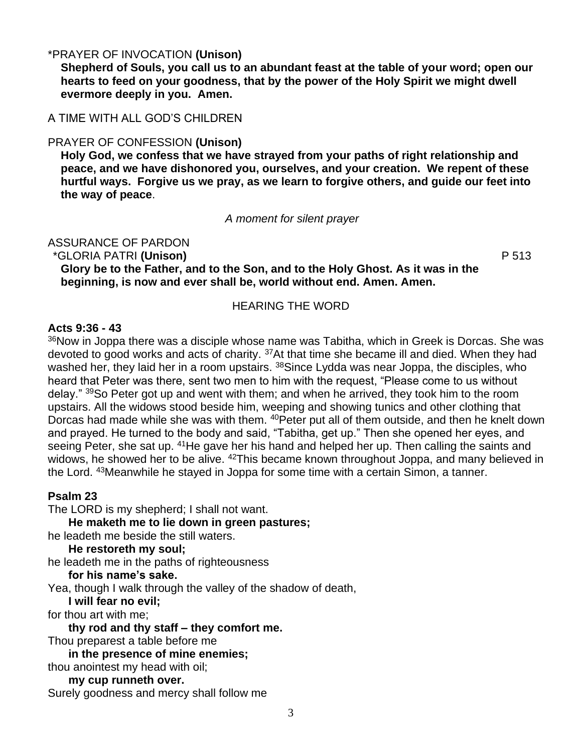# \*PRAYER OF INVOCATION **(Unison)**

**Shepherd of Souls, you call us to an abundant feast at the table of your word; open our hearts to feed on your goodness, that by the power of the Holy Spirit we might dwell evermore deeply in you. Amen.**

# A TIME WITH ALL GOD'S CHILDREN

#### PRAYER OF CONFESSION **(Unison)**

**Holy God, we confess that we have strayed from your paths of right relationship and peace, and we have dishonored you, ourselves, and your creation. We repent of these hurtful ways. Forgive us we pray, as we learn to forgive others, and guide our feet into the way of peace**.

*A moment for silent prayer*

ASSURANCE OF PARDON

\*GLORIA PATRI **(Unison)** P 513

**Glory be to the Father, and to the Son, and to the Holy Ghost. As it was in the beginning, is now and ever shall be, world without end. Amen. Amen.**

# HEARING THE WORD

#### **Acts 9:36 - 43**

<sup>36</sup>Now in Joppa there was a disciple whose name was Tabitha, which in Greek is Dorcas. She was devoted to good works and acts of charity. <sup>37</sup>At that time she became ill and died. When they had washed her, they laid her in a room upstairs. <sup>38</sup>Since Lydda was near Joppa, the disciples, who heard that Peter was there, sent two men to him with the request, "Please come to us without delay." <sup>39</sup>So Peter got up and went with them; and when he arrived, they took him to the room upstairs. All the widows stood beside him, weeping and showing tunics and other clothing that Dorcas had made while she was with them. <sup>40</sup> Peter put all of them outside, and then he knelt down and prayed. He turned to the body and said, "Tabitha, get up." Then she opened her eyes, and seeing Peter, she sat up. <sup>41</sup>He gave her his hand and helped her up. Then calling the saints and widows, he showed her to be alive. <sup>42</sup>This became known throughout Joppa, and many believed in the Lord. <sup>43</sup>Meanwhile he stayed in Joppa for some time with a certain Simon, a tanner.

#### **Psalm 23**

The LORD is my shepherd; I shall not want.

**He maketh me to lie down in green pastures;** 

he leadeth me beside the still waters.

**He restoreth my soul;**

he leadeth me in the paths of righteousness

**for his name's sake.**

Yea, though I walk through the valley of the shadow of death,

**I will fear no evil;** 

for thou art with me;

**thy rod and thy staff – they comfort me.**

Thou preparest a table before me

**in the presence of mine enemies;** 

thou anointest my head with oil;

**my cup runneth over.** Surely goodness and mercy shall follow me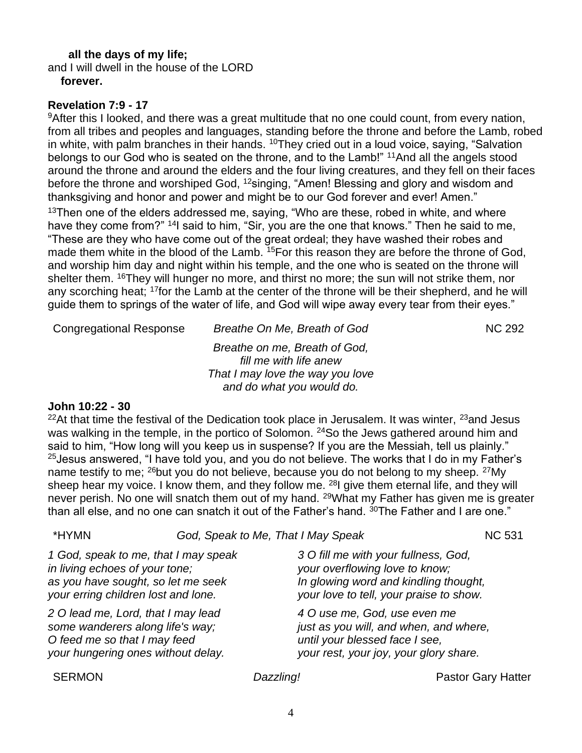# **all the days of my life;**

and I will dwell in the house of the LORD **forever.**

# **Revelation 7:9 - 17**

<sup>9</sup>After this I looked, and there was a great multitude that no one could count, from every nation, from all tribes and peoples and languages, standing before the throne and before the Lamb, robed in white, with palm branches in their hands.  $10$ They cried out in a loud voice, saying, "Salvation belongs to our God who is seated on the throne, and to the Lamb!" <sup>11</sup>And all the angels stood around the throne and around the elders and the four living creatures, and they fell on their faces before the throne and worshiped God, <sup>12</sup>singing, "Amen! Blessing and glory and wisdom and thanksgiving and honor and power and might be to our God forever and ever! Amen."

 $13$ Then one of the elders addressed me, saying, "Who are these, robed in white, and where have they come from?" <sup>14</sup>I said to him, "Sir, you are the one that knows." Then he said to me, "These are they who have come out of the great ordeal; they have washed their robes and made them white in the blood of the Lamb. <sup>15</sup>For this reason they are before the throne of God, and worship him day and night within his temple, and the one who is seated on the throne will shelter them. <sup>16</sup>They will hunger no more, and thirst no more; the sun will not strike them, nor any scorching heat; <sup>17</sup>for the Lamb at the center of the throne will be their shepherd, and he will guide them to springs of the water of life, and God will wipe away every tear from their eyes."

Congregational Response Breathe On Me, Breath of God NC 292

*Breathe on me, Breath of God, fill me with life anew That I may love the way you love and do what you would do.*

#### **John 10:22 - 30**

 $22$ At that time the festival of the Dedication took place in Jerusalem. It was winter,  $23$  and Jesus was walking in the temple, in the portico of Solomon. <sup>24</sup>So the Jews gathered around him and said to him, "How long will you keep us in suspense? If you are the Messiah, tell us plainly." <sup>25</sup> Jesus answered, "I have told you, and you do not believe. The works that I do in my Father's name testify to me; <sup>26</sup>but you do not believe, because you do not belong to my sheep. <sup>27</sup>My sheep hear my voice. I know them, and they follow me. <sup>28</sup>l give them eternal life, and they will never perish. No one will snatch them out of my hand. <sup>29</sup>What my Father has given me is greater than all else, and no one can snatch it out of the Father's hand. <sup>30</sup>The Father and I are one."

| *HYMN                                                                                                                                               |  | God, Speak to Me, That I May Speak |                                                                                                                                                            | <b>NC 531</b>             |
|-----------------------------------------------------------------------------------------------------------------------------------------------------|--|------------------------------------|------------------------------------------------------------------------------------------------------------------------------------------------------------|---------------------------|
| 1 God, speak to me, that I may speak<br>in living echoes of your tone;<br>as you have sought, so let me seek<br>your erring children lost and lone. |  |                                    | 3 O fill me with your fullness, God,<br>your overflowing love to know;<br>In glowing word and kindling thought,<br>your love to tell, your praise to show. |                           |
| 2 O lead me, Lord, that I may lead<br>some wanderers along life's way;<br>O feed me so that I may feed<br>your hungering ones without delay.        |  |                                    | 4 O use me, God, use even me<br>just as you will, and when, and where,<br>until your blessed face I see,<br>your rest, your joy, your glory share.         |                           |
| <b>SERMON</b>                                                                                                                                       |  | Dazzling!                          |                                                                                                                                                            | <b>Pastor Gary Hatter</b> |